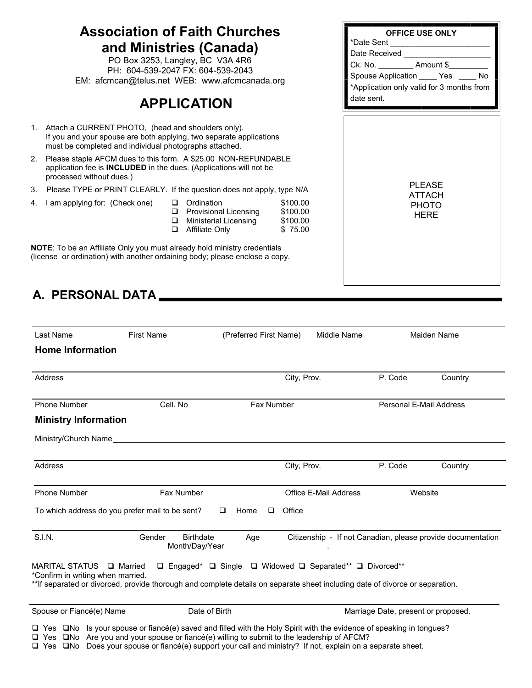|    | <b>Association of Faith Churches</b><br>and Ministries (Canada)<br>PO Box 3253, Langley, BC V3A 4R6<br>PH: 604-539-2047 FX: 604-539-2043<br>EM: afcmcan@telus.net WEB: www.afcmcanada.org<br><b>APPLICATION</b> | <b>OFFICE USE ONLY</b><br>*Date Sent _________________<br>Date Received<br>Ck. No. ___________ Amount \$<br>Spouse Application _____ Yes _____ No<br>*Application only valid for 3 months from<br>date sent. |                                                                                              |                                             |                             |
|----|-----------------------------------------------------------------------------------------------------------------------------------------------------------------------------------------------------------------|--------------------------------------------------------------------------------------------------------------------------------------------------------------------------------------------------------------|----------------------------------------------------------------------------------------------|---------------------------------------------|-----------------------------|
|    | 1. Attach a CURRENT PHOTO, (head and shoulders only).<br>If you and your spouse are both applying, two separate applications<br>must be completed and individual photographs attached.                          |                                                                                                                                                                                                              |                                                                                              |                                             |                             |
| 2. | Please staple AFCM dues to this form. A \$25.00 NON-REFUNDABLE<br>application fee is <b>INCLUDED</b> in the dues. (Applications will not be<br>processed without dues.)                                         |                                                                                                                                                                                                              |                                                                                              |                                             |                             |
| 3. | Please TYPE or PRINT CLEARLY. If the question does not apply, type N/A                                                                                                                                          |                                                                                                                                                                                                              |                                                                                              |                                             | <b>PLEASE</b><br>ATTACH     |
| 4. | I am applying for: (Check one)                                                                                                                                                                                  | $\Box$<br>□<br>$\Box$                                                                                                                                                                                        | Ordination<br>$\Box$ Provisional Licensing<br><b>Ministerial Licensing</b><br>Affiliate Only | \$100.00<br>\$100.00<br>\$100.00<br>\$75.00 | <b>PHOTO</b><br><b>HERE</b> |
|    | <b>NOTE:</b> To be an Affiliate Only you must already hold ministry credentials<br>(license or ordination) with another ordaining body; please enclose a copy.                                                  |                                                                                                                                                                                                              |                                                                                              |                                             |                             |
|    | A. PERSONAL DATA                                                                                                                                                                                                |                                                                                                                                                                                                              |                                                                                              |                                             |                             |

| Last Name                                                     | <b>First Name</b>                                                                                                                                                                                                               | (Preferred First Name)                                   | Middle Name                  |                                     | Maiden Name                                                 |
|---------------------------------------------------------------|---------------------------------------------------------------------------------------------------------------------------------------------------------------------------------------------------------------------------------|----------------------------------------------------------|------------------------------|-------------------------------------|-------------------------------------------------------------|
| <b>Home Information</b>                                       |                                                                                                                                                                                                                                 |                                                          |                              |                                     |                                                             |
|                                                               |                                                                                                                                                                                                                                 |                                                          |                              |                                     |                                                             |
| Address                                                       |                                                                                                                                                                                                                                 | City, Prov.                                              |                              | P. Code                             | Country                                                     |
| <b>Phone Number</b>                                           | Cell. No                                                                                                                                                                                                                        | Fax Number                                               |                              | Personal E-Mail Address             |                                                             |
| <b>Ministry Information</b>                                   |                                                                                                                                                                                                                                 |                                                          |                              |                                     |                                                             |
| Ministry/Church Name                                          |                                                                                                                                                                                                                                 |                                                          |                              |                                     |                                                             |
| Address                                                       |                                                                                                                                                                                                                                 | City, Prov.                                              |                              | P. Code                             | Country                                                     |
| <b>Phone Number</b>                                           | Fax Number                                                                                                                                                                                                                      |                                                          | <b>Office E-Mail Address</b> | Website                             |                                                             |
| To which address do you prefer mail to be sent?               |                                                                                                                                                                                                                                 | Office<br>$\Box$<br>Home<br>$\Box$                       |                              |                                     |                                                             |
| <b>S.I.N.</b>                                                 | <b>Birthdate</b><br>Gender<br>Month/Day/Year                                                                                                                                                                                    | Age                                                      |                              |                                     | Citizenship - If not Canadian, please provide documentation |
| MARITAL STATUS Q Married<br>*Confirm in writing when married. | **If separated or divorced, provide thorough and complete details on separate sheet including date of divorce or separation.                                                                                                    | □ Engaged* □ Single □ Widowed □ Separated** □ Divorced** |                              |                                     |                                                             |
| Spouse or Fiancé(e) Name                                      | Date of Birth                                                                                                                                                                                                                   |                                                          |                              | Marriage Date, present or proposed. |                                                             |
|                                                               | $\Box$ Yes $\Box$ No Is your spouse or fiancé(e) saved and filled with the Holy Spirit with the evidence of speaking in tongues?<br>□ Yes □No Are you and your spouse or fiancé(e) willing to submit to the leadership of AFCM? |                                                          |                              |                                     |                                                             |

 $\Box$  Yes  $\Box$ No Does your spouse or fiancé(e) support your call and ministry? If not, explain on a separate sheet.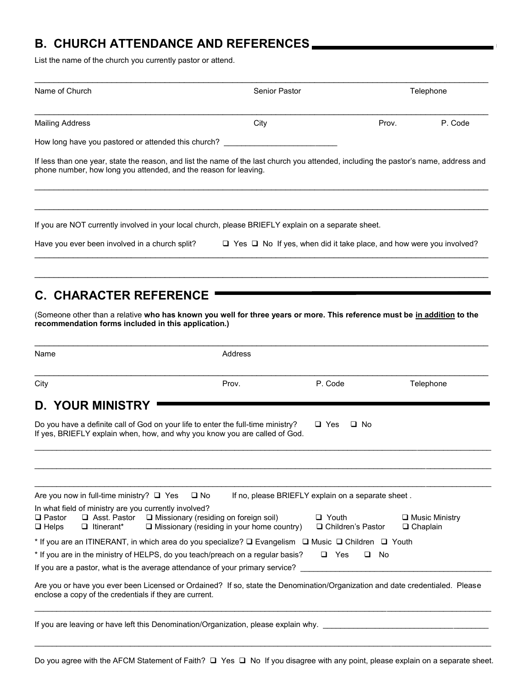## **B. CHURCH ATTENDANCE AND REFERENCES**  \_\_\_\_\_\_\_\_\_\_\_\_\_\_\_\_\_\_\_\_\_\_\_\_\_\_\_\_\_\_\_\_\_\_\_\_\_\_\_\_\_\_\_\_\_\_\_\_\_\_\_\_\_\_\_\_\_\_\_\_\_\_\_\_\_\_\_\_\_\_\_\_\_\_\_\_\_\_\_\_\_\_\_\_\_\_\_\_\_\_\_\_\_\_\_

List the name of the church you currently pastor or attend.

| Name of Church                                                                                                               | Senior Pastor                                                                                                                                                  |                                                                                 | Telephone |                                          |  |
|------------------------------------------------------------------------------------------------------------------------------|----------------------------------------------------------------------------------------------------------------------------------------------------------------|---------------------------------------------------------------------------------|-----------|------------------------------------------|--|
| <b>Mailing Address</b>                                                                                                       | City                                                                                                                                                           |                                                                                 | Prov.     | P. Code                                  |  |
| How long have you pastored or attended this church?                                                                          |                                                                                                                                                                |                                                                                 |           |                                          |  |
| phone number, how long you attended, and the reason for leaving.                                                             | If less than one year, state the reason, and list the name of the last church you attended, including the pastor's name, address and                           |                                                                                 |           |                                          |  |
|                                                                                                                              | If you are NOT currently involved in your local church, please BRIEFLY explain on a separate sheet.                                                            |                                                                                 |           |                                          |  |
| Have you ever been involved in a church split?                                                                               |                                                                                                                                                                | $\Box$ Yes $\Box$ No If yes, when did it take place, and how were you involved? |           |                                          |  |
| <b>C. CHARACTER REFERENCE</b>                                                                                                |                                                                                                                                                                |                                                                                 |           |                                          |  |
| recommendation forms included in this application.)                                                                          | (Someone other than a relative who has known you well for three years or more. This reference must be in addition to the                                       |                                                                                 |           |                                          |  |
| Name                                                                                                                         | Address                                                                                                                                                        |                                                                                 |           |                                          |  |
| City                                                                                                                         | Prov.                                                                                                                                                          | P. Code                                                                         |           | Telephone                                |  |
| <b>D. YOUR MINISTRY</b>                                                                                                      |                                                                                                                                                                |                                                                                 |           |                                          |  |
|                                                                                                                              | Do you have a definite call of God on your life to enter the full-time ministry?<br>If yes, BRIEFLY explain when, how, and why you know you are called of God. | $\Box$ Yes<br>⊔ No                                                              |           |                                          |  |
|                                                                                                                              |                                                                                                                                                                |                                                                                 |           |                                          |  |
| Are you now in full-time ministry? $\Box$ Yes                                                                                | $\square$ No                                                                                                                                                   | If no, please BRIEFLY explain on a separate sheet.                              |           |                                          |  |
| In what field of ministry are you currently involved?<br>□ Asst. Pastor<br>□ Pastor<br>$\Box$ Helps<br>$\Box$ Itinerant*     | $\Box$ Missionary (residing on foreign soil)<br>$\Box$ Missionary (residing in your home country)                                                              | $\Box$ Youth<br>□ Children's Pastor                                             |           | $\Box$ Music Ministry<br>$\Box$ Chaplain |  |
|                                                                                                                              | * If you are an ITINERANT, in which area do you specialize? □ Evangelism □ Music □ Children □ Youth                                                            |                                                                                 |           |                                          |  |
|                                                                                                                              | * If you are in the ministry of HELPS, do you teach/preach on a regular basis?                                                                                 | $\Box$ Yes                                                                      | No        |                                          |  |
|                                                                                                                              | If you are a pastor, what is the average attendance of your primary service?                                                                                   |                                                                                 |           |                                          |  |
| Are you or have you ever been Licensed or Ordained? If so, state the Denomination/Organization and date credentialed. Please |                                                                                                                                                                |                                                                                 |           |                                          |  |

If you are leaving or have left this Denomination/Organization, please explain why. \_\_\_\_\_\_\_\_\_\_\_\_\_\_\_\_\_\_\_\_\_\_\_\_\_\_\_\_\_\_\_\_\_\_\_\_\_\_

Do you agree with the AFCM Statement of Faith?  $\Box$  Yes  $\Box$  No If you disagree with any point, please explain on a separate sheet.

\_\_\_\_\_\_\_\_\_\_\_\_\_\_\_\_\_\_\_\_\_\_\_\_\_\_\_\_\_\_\_\_\_\_\_\_\_\_\_\_\_\_\_\_\_\_\_\_\_\_\_\_\_\_\_\_\_\_\_\_\_\_\_\_\_\_\_\_\_\_\_\_\_\_\_\_\_\_\_\_\_\_\_\_\_\_\_\_\_\_\_\_\_\_\_\_\_\_\_\_\_\_\_\_\_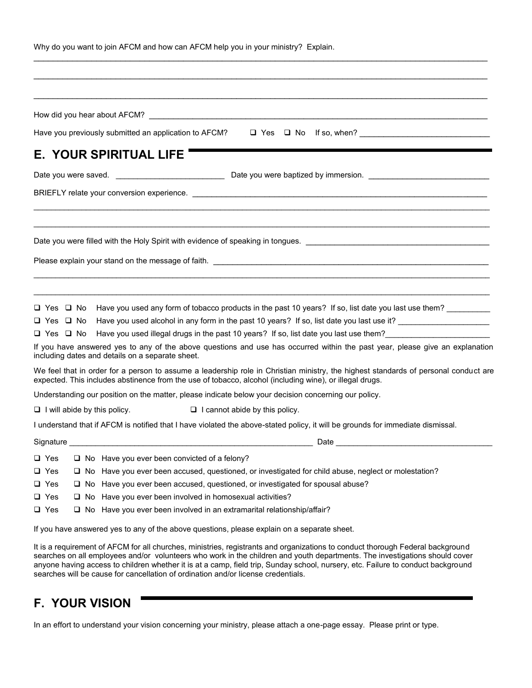Why do you want to join AFCM and how can AFCM help you in your ministry? Explain.

| Have you previously submitted an application to AFCM?                                                                                                                                                                                          |
|------------------------------------------------------------------------------------------------------------------------------------------------------------------------------------------------------------------------------------------------|
| <b>E. YOUR SPIRITUAL LIFE</b>                                                                                                                                                                                                                  |
|                                                                                                                                                                                                                                                |
|                                                                                                                                                                                                                                                |
|                                                                                                                                                                                                                                                |
| Date you were filled with the Holy Spirit with evidence of speaking in tongues.                                                                                                                                                                |
|                                                                                                                                                                                                                                                |
|                                                                                                                                                                                                                                                |
|                                                                                                                                                                                                                                                |
| Have you used any form of tobacco products in the past 10 years? If so, list date you last use them?<br>⊔ Yes □ No                                                                                                                             |
| Have you used alcohol in any form in the past 10 years? If so, list date you last use it? ___________________<br>$\Box$ Yes $\Box$ No                                                                                                          |
| Have you used illegal drugs in the past 10 years? If so, list date you last use them?<br>Have you used illegal drugs in the past 10 years? If so, list date you last use them?<br>⊔ Yes □ No                                                   |
| If you have answered yes to any of the above questions and use has occurred within the past year, please give an explanation<br>including dates and details on a separate sheet.                                                               |
| We feel that in order for a person to assume a leadership role in Christian ministry, the highest standards of personal conduct are<br>expected. This includes abstinence from the use of tobacco, alcohol (including wine), or illegal drugs. |
| Understanding our position on the matter, please indicate below your decision concerning our policy.                                                                                                                                           |
| $\Box$ I will abide by this policy.<br>$\Box$ I cannot abide by this policy.                                                                                                                                                                   |
| I understand that if AFCM is notified that I have violated the above-stated policy, it will be grounds for immediate dismissal.                                                                                                                |
|                                                                                                                                                                                                                                                |
| $\Box$ Yes $\Box$ No Have you ever been convicted of a felony?                                                                                                                                                                                 |
| $\Box$ Yes<br>□ No Have you ever been accused, questioned, or investigated for child abuse, neglect or molestation?                                                                                                                            |
| □ No Have you ever been accused, questioned, or investigated for spousal abuse?<br>□ Yes                                                                                                                                                       |
| $\Box$ No Have you ever been involved in homosexual activities?<br>$\Box$ Yes                                                                                                                                                                  |
| $\Box$ No Have you ever been involved in an extramarital relationship/affair?<br>$\Box$ Yes                                                                                                                                                    |
| If you have answered yes to any of the above questions, please explain on a separate sheet.                                                                                                                                                    |
|                                                                                                                                                                                                                                                |

\_\_\_\_\_\_\_\_\_\_\_\_\_\_\_\_\_\_\_\_\_\_\_\_\_\_\_\_\_\_\_\_\_\_\_\_\_\_\_\_\_\_\_\_\_\_\_\_\_\_\_\_\_\_\_\_\_\_\_\_\_\_\_\_\_\_\_\_\_\_\_\_\_\_\_\_\_\_\_\_\_\_\_\_\_\_\_\_\_\_\_\_\_\_

It is a requirement of AFCM for all churches, ministries, registrants and organizations to conduct thorough Federal background searches on all employees and/or volunteers who work in the children and youth departments. The investigations should cover anyone having access to children whether it is at a camp, field trip, Sunday school, nursery, etc. Failure to conduct background searches will be cause for cancellation of ordination and/or license credentials.

## **F. YOUR VISION**

In an effort to understand your vision concerning your ministry, please attach a one-page essay. Please print or type.